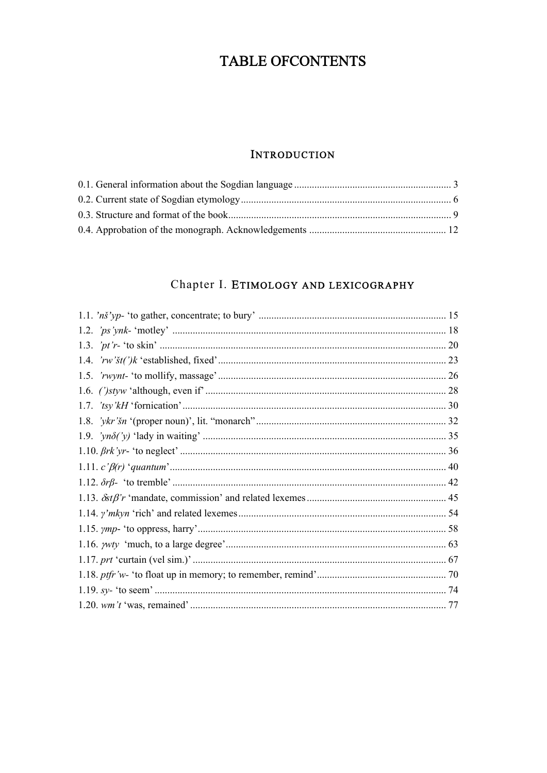# TABLE OFCONTENTS

#### **INTRODUCTION**

## Chapter I. ETIMOLOGY AND LEXICOGRAPHY